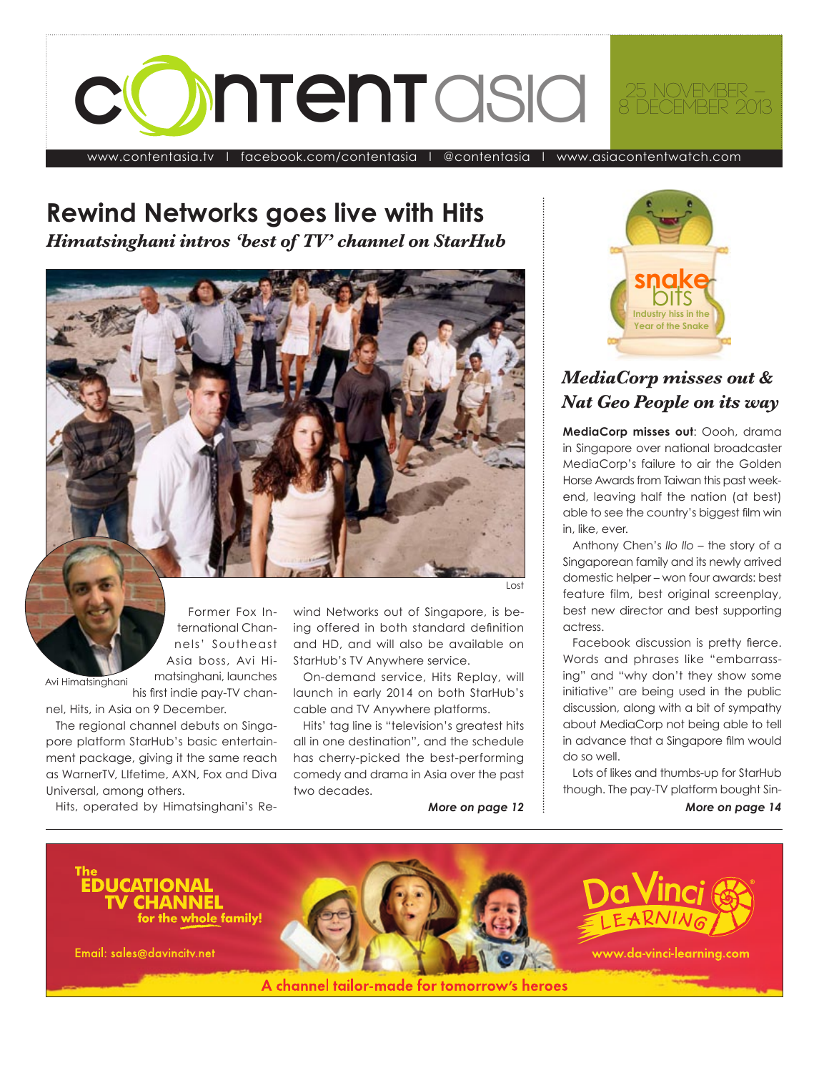

www.contentasia.tv l [facebook.com/contentasia](http://www.facebook.com/contentasia) l [@contentasia](http://twitter.com/contentasia) l www.asiacontentwatch.com

#### **Rewind Networks goes live with Hits** *Himatsinghani intros 'best of TV' channel on StarHub*

 $x \rightarrow 0$ 

Former Fox International Channels' Southeast Asia boss, Avi Himatsinghani, launches

Avi Himatsinghani

his first indie pay-TV channel, Hits, in Asia on 9 December.

The regional channel debuts on Singapore platform StarHub's basic entertainment package, giving it the same reach as WarnerTV, Llfetime, AXN, Fox and Diva Universal, among others.

Hits, operated by Himatsinghani's Re-

Lost 

wind Networks out of Singapore, is being offered in both standard definition and HD, and will also be available on StarHub's TV Anywhere service.

On-demand service, Hits Replay, will launch in early 2014 on both StarHub's cable and TV Anywhere platforms.

Hits' tag line is "television's greatest hits all in one destination", and the schedule has cherry-picked the best-performing comedy and drama in Asia over the past two decades.

*More on page 12*



#### *MediaCorp misses out & Nat Geo People on its way*

MediaCorp misses out: Oooh, drama in Singapore over national broadcaster MediaCorp's failure to air the Golden Horse Awards from Taiwan this past weekend, leaving half the nation (at best) able to see the country's biggest film win in, like, ever.

Anthony Chen's Ilo Ilo – the story of a Singaporean family and its newly arrived domestic helper – won four awards: best feature film, best original screenplay, best new director and best supporting actress.

Facebook discussion is pretty fierce. Words and phrases like "embarrassing" and "why don't they show some initiative" are being used in the public discussion, along with a bit of sympathy about MediaCorp not being able to tell in advance that a Singapore film would do so well. 

Lots of likes and thumbs-up for StarHub though. The pay-TV platform bought Sin-

*More on page 14*